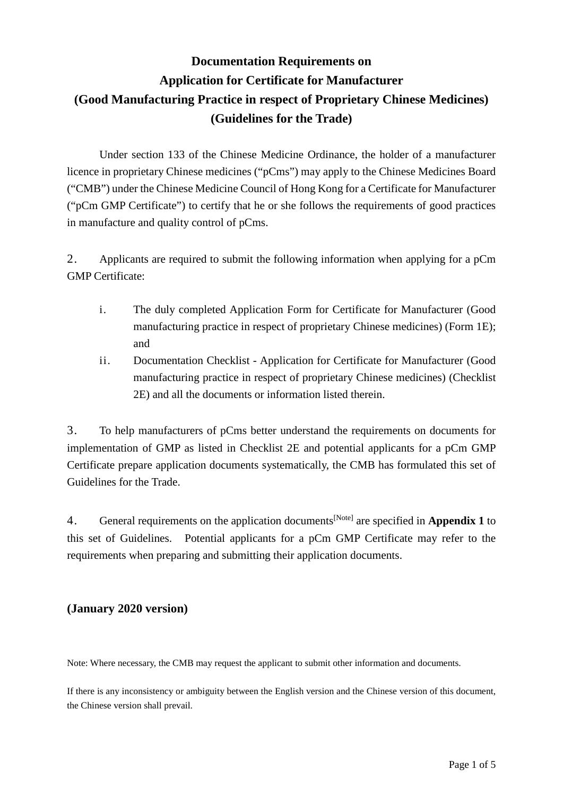# **Documentation Requirements on Application for Certificate for Manufacturer (Good Manufacturing Practice in respect of Proprietary Chinese Medicines) (Guidelines for the Trade)**

Under section 133 of the Chinese Medicine Ordinance, the holder of a manufacturer licence in proprietary Chinese medicines ("pCms") may apply to the Chinese Medicines Board ("CMB") under the Chinese Medicine Council of Hong Kong for a Certificate for Manufacturer ("pCm GMP Certificate") to certify that he or she follows the requirements of good practices in manufacture and quality control of pCms.

2. Applicants are required to submit the following information when applying for a pCm GMP Certificate:

- i. The duly completed Application Form for Certificate for Manufacturer (Good manufacturing practice in respect of proprietary Chinese medicines) (Form 1E); and
- ii. Documentation Checklist Application for Certificate for Manufacturer (Good manufacturing practice in respect of proprietary Chinese medicines) (Checklist 2E) and all the documents or information listed therein.

3. To help manufacturers of pCms better understand the requirements on documents for implementation of GMP as listed in Checklist 2E and potential applicants for a pCm GMP Certificate prepare application documents systematically, the CMB has formulated this set of Guidelines for the Trade.

4. General requirements on the application documents[Note] are specified in **Appendix 1** to this set of Guidelines. Potential applicants for a pCm GMP Certificate may refer to the requirements when preparing and submitting their application documents.

# **(January 2020 version)**

Note: Where necessary, the CMB may request the applicant to submit other information and documents.

If there is any inconsistency or ambiguity between the English version and the Chinese version of this document, the Chinese version shall prevail.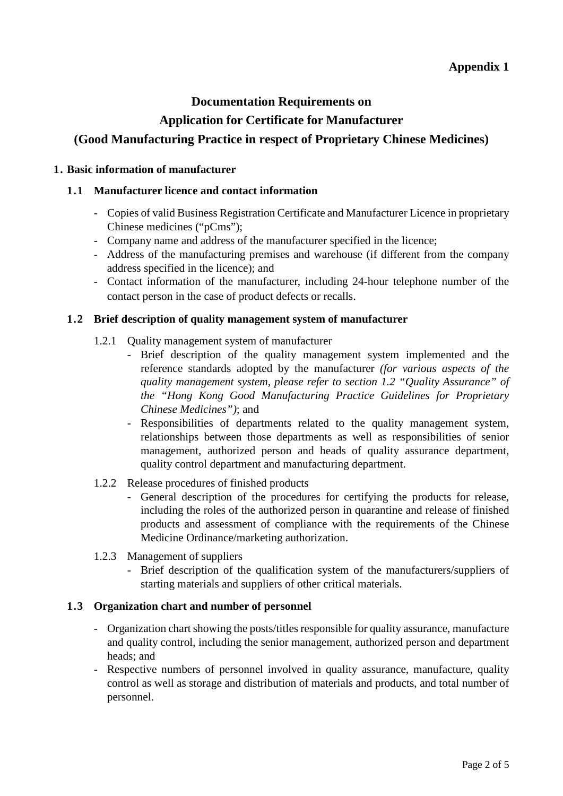## **Appendix 1**

## **Documentation Requirements on**

## **Application for Certificate for Manufacturer**

# **(Good Manufacturing Practice in respect of Proprietary Chinese Medicines)**

#### **1. Basic information of manufacturer**

#### **1.1 Manufacturer licence and contact information**

- Copies of valid Business Registration Certificate and Manufacturer Licence in proprietary Chinese medicines ("pCms");
- Company name and address of the manufacturer specified in the licence;
- Address of the manufacturing premises and warehouse (if different from the company address specified in the licence); and
- Contact information of the manufacturer, including 24-hour telephone number of the contact person in the case of product defects or recalls.

#### **1.2 Brief description of quality management system of manufacturer**

- 1.2.1 Quality management system of manufacturer
	- Brief description of the quality management system implemented and the reference standards adopted by the manufacturer *(for various aspects of the quality management system, please refer to section 1.2 "Quality Assurance" of the "Hong Kong Good Manufacturing Practice Guidelines for Proprietary Chinese Medicines")*; and
	- Responsibilities of departments related to the quality management system, relationships between those departments as well as responsibilities of senior management, authorized person and heads of quality assurance department, quality control department and manufacturing department.
- 1.2.2 Release procedures of finished products
	- General description of the procedures for certifying the products for release, including the roles of the authorized person in quarantine and release of finished products and assessment of compliance with the requirements of the Chinese Medicine Ordinance/marketing authorization.
- 1.2.3 Management of suppliers
	- Brief description of the qualification system of the manufacturers/suppliers of starting materials and suppliers of other critical materials.

#### **1.3 Organization chart and number of personnel**

- Organization chart showing the posts/titles responsible for quality assurance, manufacture and quality control, including the senior management, authorized person and department heads; and
- Respective numbers of personnel involved in quality assurance, manufacture, quality control as well as storage and distribution of materials and products, and total number of personnel.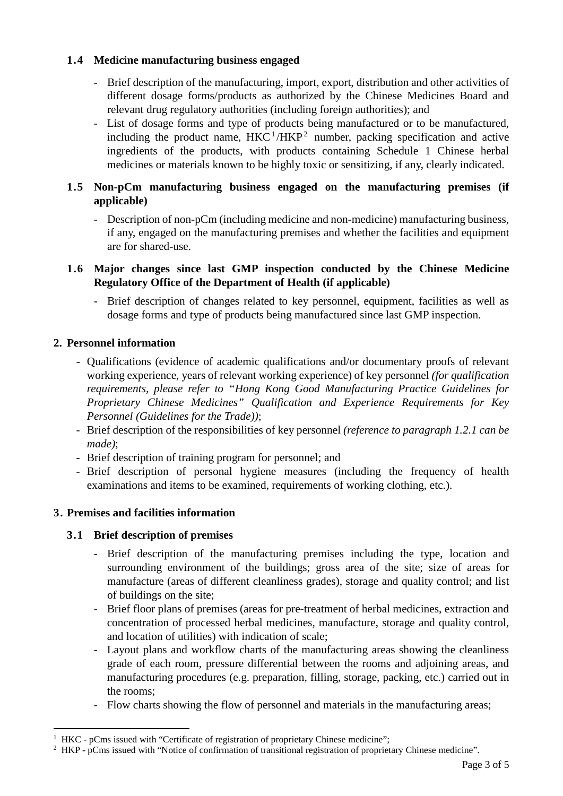## **1.4 Medicine manufacturing business engaged**

- Brief description of the manufacturing, import, export, distribution and other activities of different dosage forms/products as authorized by the Chinese Medicines Board and relevant drug regulatory authorities (including foreign authorities); and
- List of dosage forms and type of products being manufactured or to be manufactured, including the product name,  $HKC<sup>1</sup>/HKP<sup>2</sup>$  $HKC<sup>1</sup>/HKP<sup>2</sup>$  $HKC<sup>1</sup>/HKP<sup>2</sup>$  $HKC<sup>1</sup>/HKP<sup>2</sup>$  $HKC<sup>1</sup>/HKP<sup>2</sup>$  number, packing specification and active ingredients of the products, with products containing Schedule 1 Chinese herbal medicines or materials known to be highly toxic or sensitizing, if any, clearly indicated.

## **1.5 Non-pCm manufacturing business engaged on the manufacturing premises (if applicable)**

- Description of non-pCm (including medicine and non-medicine) manufacturing business, if any, engaged on the manufacturing premises and whether the facilities and equipment are for shared-use.

#### **1.6 Major changes since last GMP inspection conducted by the Chinese Medicine Regulatory Office of the Department of Health (if applicable)**

- Brief description of changes related to key personnel, equipment, facilities as well as dosage forms and type of products being manufactured since last GMP inspection.

## **2. Personnel information**

- Qualifications (evidence of academic qualifications and/or documentary proofs of relevant working experience, years of relevant working experience) of key personnel *(for qualification requirements, please refer to "Hong Kong Good Manufacturing Practice Guidelines for Proprietary Chinese Medicines" Qualification and Experience Requirements for Key Personnel (Guidelines for the Trade))*;
- Brief description of the responsibilities of key personnel *(reference to paragraph 1.2.1 can be made)*;
- Brief description of training program for personnel; and
- Brief description of personal hygiene measures (including the frequency of health examinations and items to be examined, requirements of working clothing, etc.).

#### **3. Premises and facilities information**

-

## **3.1 Brief description of premises**

- Brief description of the manufacturing premises including the type, location and surrounding environment of the buildings; gross area of the site; size of areas for manufacture (areas of different cleanliness grades), storage and quality control; and list of buildings on the site;
- Brief floor plans of premises (areas for pre-treatment of herbal medicines, extraction and concentration of processed herbal medicines, manufacture, storage and quality control, and location of utilities) with indication of scale;
- Layout plans and workflow charts of the manufacturing areas showing the cleanliness grade of each room, pressure differential between the rooms and adjoining areas, and manufacturing procedures (e.g. preparation, filling, storage, packing, etc.) carried out in the rooms;
- Flow charts showing the flow of personnel and materials in the manufacturing areas;

<span id="page-2-0"></span><sup>&</sup>lt;sup>1</sup> HKC - pCms issued with "Certificate of registration of proprietary Chinese medicine";

<span id="page-2-1"></span><sup>&</sup>lt;sup>2</sup> HKP - pCms issued with "Notice of confirmation of transitional registration of proprietary Chinese medicine".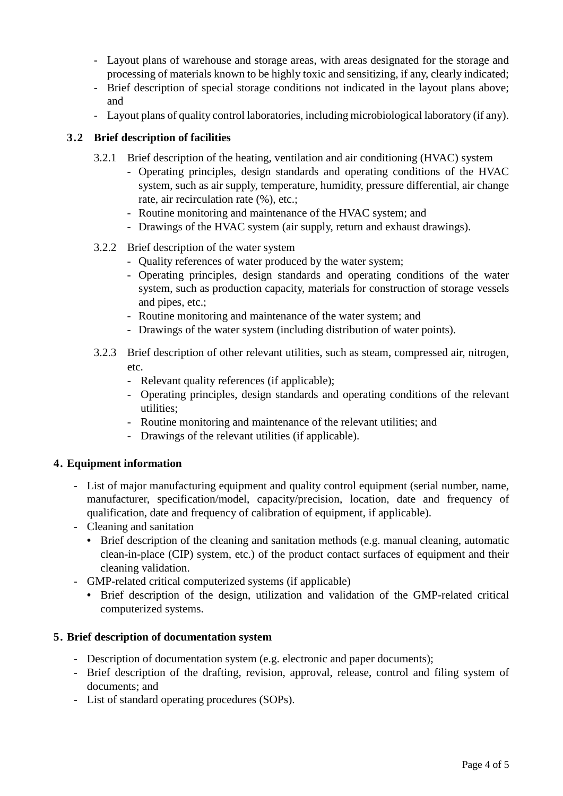- Layout plans of warehouse and storage areas, with areas designated for the storage and processing of materials known to be highly toxic and sensitizing, if any, clearly indicated;
- Brief description of special storage conditions not indicated in the layout plans above; and
- Layout plans of quality control laboratories, including microbiological laboratory (if any).

## **3.2 Brief description of facilities**

- 3.2.1 Brief description of the heating, ventilation and air conditioning (HVAC) system
	- Operating principles, design standards and operating conditions of the HVAC system, such as air supply, temperature, humidity, pressure differential, air change rate, air recirculation rate (%), etc.;
	- Routine monitoring and maintenance of the HVAC system; and
	- Drawings of the HVAC system (air supply, return and exhaust drawings).
- 3.2.2 Brief description of the water system
	- Quality references of water produced by the water system;
	- Operating principles, design standards and operating conditions of the water system, such as production capacity, materials for construction of storage vessels and pipes, etc.;
	- Routine monitoring and maintenance of the water system; and
	- Drawings of the water system (including distribution of water points).
- 3.2.3 Brief description of other relevant utilities, such as steam, compressed air, nitrogen, etc.
	- Relevant quality references (if applicable);
	- Operating principles, design standards and operating conditions of the relevant utilities;
	- Routine monitoring and maintenance of the relevant utilities; and
	- Drawings of the relevant utilities (if applicable).

#### **4. Equipment information**

- List of major manufacturing equipment and quality control equipment (serial number, name, manufacturer, specification/model, capacity/precision, location, date and frequency of qualification, date and frequency of calibration of equipment, if applicable).
- Cleaning and sanitation
	- Brief description of the cleaning and sanitation methods (e.g. manual cleaning, automatic clean-in-place (CIP) system, etc.) of the product contact surfaces of equipment and their cleaning validation.
- GMP-related critical computerized systems (if applicable)
	- Brief description of the design, utilization and validation of the GMP-related critical computerized systems.

#### **5. Brief description of documentation system**

- Description of documentation system (e.g. electronic and paper documents);
- Brief description of the drafting, revision, approval, release, control and filing system of documents; and
- List of standard operating procedures (SOPs).